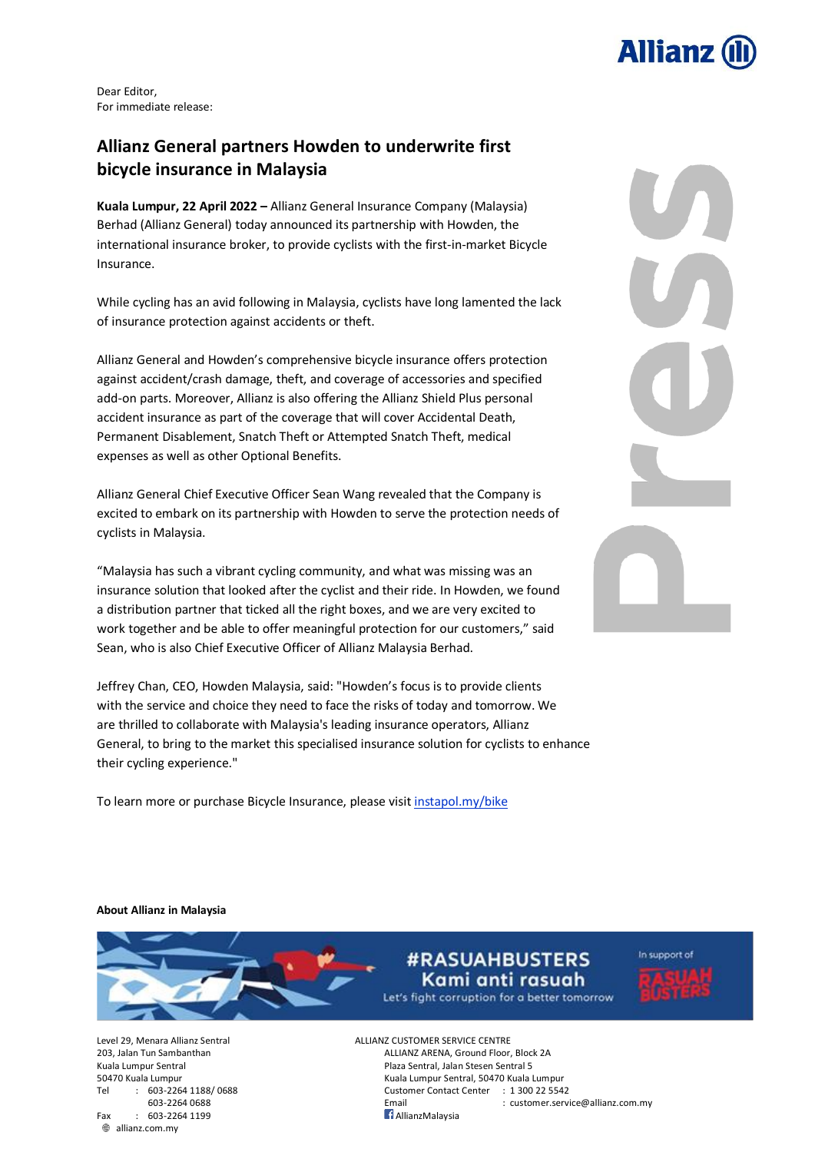

Dear Editor, For immediate release:

## **Allianz General partners Howden to underwrite first bicycle insurance in Malaysia**

**Kuala Lumpur, 22 April 2022 –** Allianz General Insurance Company (Malaysia) Berhad (Allianz General) today announced its partnership with [Howden,](https://howden-bike.instapol.my/landing) the international insurance broker, to provide cyclists with the first-in-market Bicycle Insurance.

While cycling has an avid following in Malaysia, cyclists have long lamented the lack of insurance protection against accidents or theft.

Allianz General and Howden's comprehensive bicycle insurance offers protection against accident/crash damage, theft, and coverage of accessories and specified add-on parts. Moreover, Allianz is also offering the Allianz Shield Plus personal accident insurance as part of the coverage that will cover Accidental Death, Permanent Disablement, Snatch Theft or Attempted Snatch Theft, medical expenses as well as other Optional Benefits.

Allianz General Chief Executive Officer Sean Wang revealed that the Company is excited to embark on its partnership with Howden to serve the protection needs of cyclists in Malaysia.

"Malaysia has such a vibrant cycling community, and what was missing was an insurance solution that looked after the cyclist and their ride. In Howden, we found a distribution partner that ticked all the right boxes, and we are very excited to work together and be able to offer meaningful protection for our customers," said Sean, who is also Chief Executive Officer of Allianz Malaysia Berhad.

Jeffrey Chan, CEO, Howden Malaysia, said: "Howden's focus is to provide clients with the service and choice they need to face the risks of today and tomorrow. We are thrilled to collaborate with Malaysia's leading insurance operators, Allianz General, to bring to the market this specialised insurance solution for cyclists to enhance their cycling experience."

To learn more or purchase Bicycle Insurance, please visit [instapol.my/bike](https://www.instapol.my/bike)



**About Allianz in Malaysia**



**#RASUAHBUSTERS** Kami anti rasuah Let's fight corruption for a better tomorrow



 $Fax$  : 603-2264 1199 allianz.com.my

Level 29, Menara Allianz Sentral ALLIANZ CUSTOMER SERVICE CENTRE 203, Jalan Tun Sambanthan ALLIANZ ARENA, Ground Floor, Block 2A Kuala Lumpur Sentral **Plaza Sentral Sentral Sentral Sentral Sentral Sentral Sentral Sentral Sentral S** 50470 Kuala Lumpur Kuala Lumpur Sentral, 50470 Kuala Lumpur Tel : 603-2264 1188/ 0688 Customer Contact Center : 1 300 22 5542

Email : customer.service@allianz.com.my<br>1. AllianzMalavsia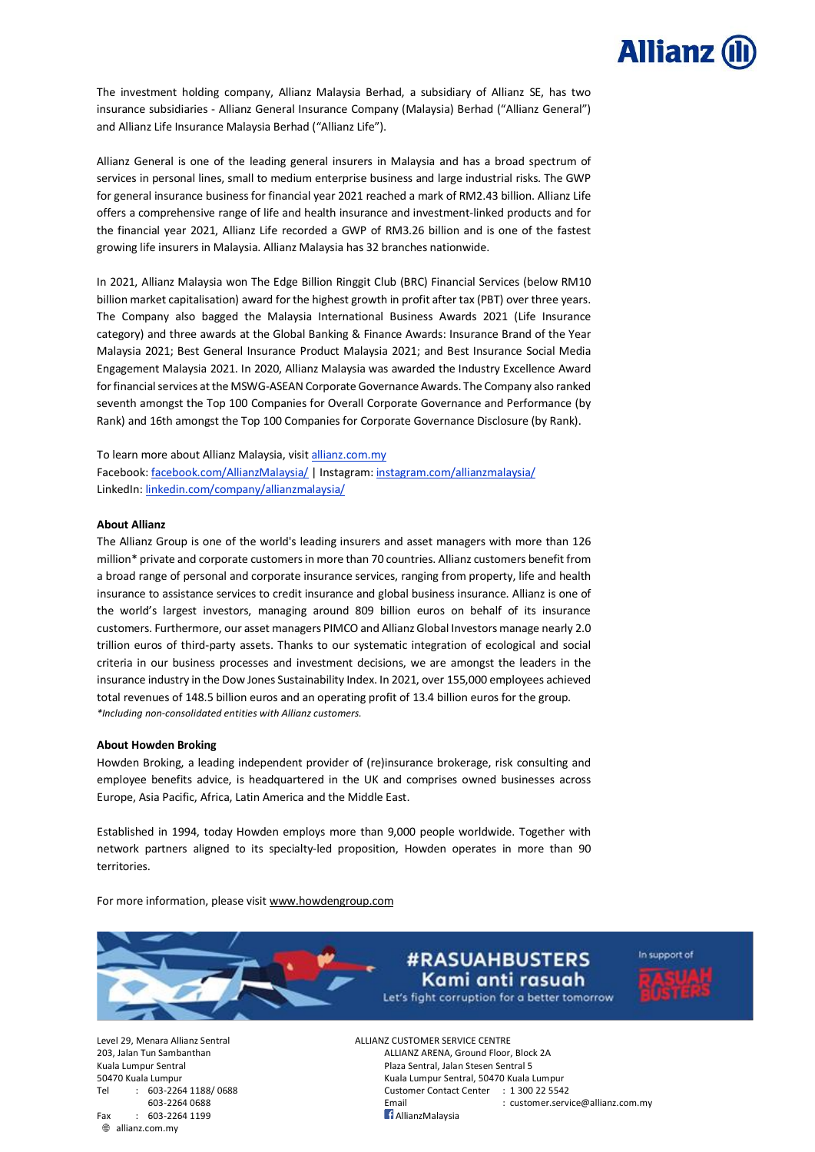

The investment holding company, Allianz Malaysia Berhad, a subsidiary of Allianz SE, has two insurance subsidiaries - Allianz General Insurance Company (Malaysia) Berhad ("Allianz General") and Allianz Life Insurance Malaysia Berhad ("Allianz Life").

Allianz General is one of the leading general insurers in Malaysia and has a broad spectrum of services in personal lines, small to medium enterprise business and large industrial risks. The GWP for general insurance businessfor financial year 2021 reached a mark of RM2.43 billion. Allianz Life offers a comprehensive range of life and health insurance and investment-linked products and for the financial year 2021, Allianz Life recorded a GWP of RM3.26 billion and is one of the fastest growing life insurers in Malaysia. Allianz Malaysia has 32 branches nationwide.

In 2021, Allianz Malaysia won The Edge Billion Ringgit Club (BRC) Financial Services (below RM10 billion market capitalisation) award for the highest growth in profit after tax (PBT) over three years. The Company also bagged the Malaysia International Business Awards 2021 (Life Insurance category) and three awards at the Global Banking & Finance Awards: Insurance Brand of the Year Malaysia 2021; Best General Insurance Product Malaysia 2021; and Best Insurance Social Media Engagement Malaysia 2021. In 2020, Allianz Malaysia was awarded the Industry Excellence Award for financial services at the MSWG-ASEAN Corporate Governance Awards. The Company also ranked seventh amongst the Top 100 Companies for Overall Corporate Governance and Performance (by Rank) and 16th amongst the Top 100 Companies for Corporate Governance Disclosure (by Rank).

To learn more about Allianz Malaysia, visit allianz.com.my

Facebook: [facebook.com/AllianzMalaysia/](https://www.facebook.com/AllianzMalaysia/) | Instagram: [instagram.com/allianzmalaysia/](http://www.instagram.com/allianzmalaysia/) LinkedIn: [linkedin.com/company/allianzmalaysia/](https://www.linkedin.com/company/allianzmalaysia/)

## **About Allianz**

The Allianz Group is one of the world's leading insurers and asset managers with more than 126 million\* private and corporate customersin more than 70 countries. Allianz customers benefit from a broad range of personal and corporate insurance services, ranging from property, life and health insurance to assistance services to credit insurance and global business insurance. Allianz is one of the world's largest investors, managing around 809 billion euros on behalf of its insurance customers. Furthermore, our asset managers PIMCO and Allianz Global Investors manage nearly 2.0 trillion euros of third-party assets. Thanks to our systematic integration of ecological and social criteria in our business processes and investment decisions, we are amongst the leaders in the insurance industry in the Dow Jones Sustainability Index. In 2021, over 155,000 employees achieved total revenues of 148.5 billion euros and an operating profit of 13.4 billion euros for the group. *\*Including non-consolidated entities with Allianz customers.*

## **About Howden Broking**

Howden Broking, a leading independent provider of (re)insurance brokerage, risk consulting and employee benefits advice, is headquartered in the UK and comprises owned businesses across Europe, Asia Pacific, Africa, Latin America and the Middle East.

Established in 1994, today Howden employs more than 9,000 people worldwide. Together with network partners aligned to its specialty-led proposition, Howden operates in more than 90 territories.

For more information, please visit [www.howdengroup.com](http://www.howdengroup.com/)



## **#RASUAHBUSTERS** Kami anti rasuah Let's fight corruption for a better tomorrow

In support of

 $Fax : 603-22641199$ allianz.com.my

Level 29, Menara Allianz Sentral ALLIANZ CUSTOMER SERVICE CENTRE 203, Jalan Tun Sambanthan ALLIANZ ARENA, Ground Floor, Block 2A Kuala Lumpur Sentral **Plaza Sentral, Jalan Stesen Sentral 5** 50470 Kuala Lumpur Kuala Lumpur Sentral, 50470 Kuala Lumpur Tel : 603-2264 1188/ 0688 Customer Contact Center : 1 300 22 5542

Email : customer.service@allianz.com.my<br>1. AllianzMalavsia